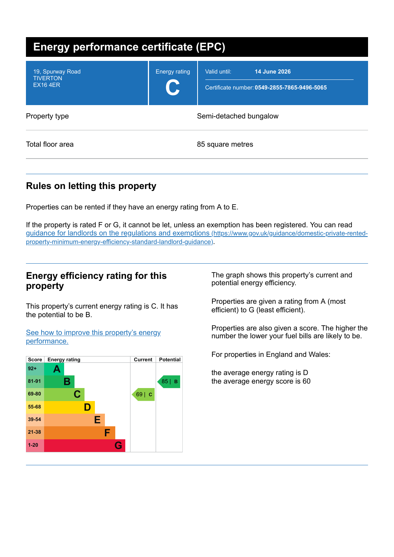| <b>Energy performance certificate (EPC)</b>            |                           |                                                                              |
|--------------------------------------------------------|---------------------------|------------------------------------------------------------------------------|
| 19, Spurway Road<br><b>TIVERTON</b><br><b>EX16 4ER</b> | <b>Energy rating</b><br>C | 14 June 2026<br>Valid until:<br>Certificate number: 0549-2855-7865-9496-5065 |
| Property type                                          |                           | Semi-detached bungalow                                                       |
| Total floor area                                       |                           | 85 square metres                                                             |

# **Rules on letting this property**

Properties can be rented if they have an energy rating from A to E.

If the property is rated F or G, it cannot be let, unless an exemption has been registered. You can read guidance for landlords on the regulations and exemptions (https://www.gov.uk/guidance/domestic-private-rented[property-minimum-energy-efficiency-standard-landlord-guidance\)](https://www.gov.uk/guidance/domestic-private-rented-property-minimum-energy-efficiency-standard-landlord-guidance).

## **Energy efficiency rating for this property**

This property's current energy rating is C. It has the potential to be B.

See how to improve this property's energy [performance.](#page-2-0)



The graph shows this property's current and potential energy efficiency.

Properties are given a rating from A (most efficient) to G (least efficient).

Properties are also given a score. The higher the number the lower your fuel bills are likely to be.

For properties in England and Wales:

the average energy rating is D the average energy score is 60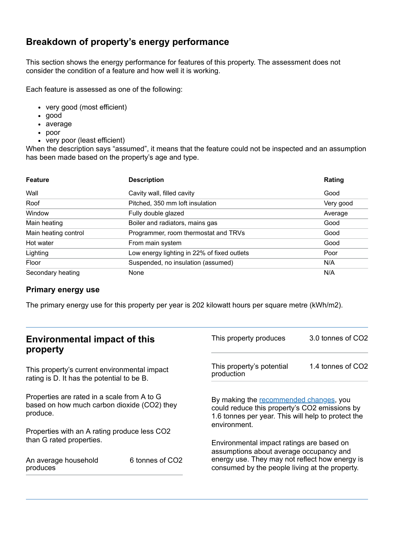## **Breakdown of property's energy performance**

This section shows the energy performance for features of this property. The assessment does not consider the condition of a feature and how well it is working.

Each feature is assessed as one of the following:

- very good (most efficient)
- good
- average
- poor
- very poor (least efficient)

When the description says "assumed", it means that the feature could not be inspected and an assumption has been made based on the property's age and type.

| <b>Feature</b>       | <b>Description</b>                          | Rating    |
|----------------------|---------------------------------------------|-----------|
| Wall                 | Cavity wall, filled cavity                  | Good      |
| Roof                 | Pitched, 350 mm loft insulation             | Very good |
| Window               | Fully double glazed                         | Average   |
| Main heating         | Boiler and radiators, mains gas             | Good      |
| Main heating control | Programmer, room thermostat and TRVs        | Good      |
| Hot water            | From main system                            | Good      |
| Lighting             | Low energy lighting in 22% of fixed outlets | Poor      |
| Floor                | Suspended, no insulation (assumed)          | N/A       |
| Secondary heating    | None                                        | N/A       |

#### **Primary energy use**

The primary energy use for this property per year is 202 kilowatt hours per square metre (kWh/m2).

| <b>Environmental impact of this</b><br>property                                                        |                             | This property produces                                                                                                                                                                   | 3.0 tonnes of CO2 |
|--------------------------------------------------------------------------------------------------------|-----------------------------|------------------------------------------------------------------------------------------------------------------------------------------------------------------------------------------|-------------------|
| This property's current environmental impact<br>rating is D. It has the potential to be B.             |                             | This property's potential<br>production                                                                                                                                                  | 1.4 tonnes of CO2 |
| Properties are rated in a scale from A to G<br>based on how much carbon dioxide (CO2) they<br>produce. |                             | By making the recommended changes, you<br>could reduce this property's CO2 emissions by<br>1.6 tonnes per year. This will help to protect the<br>environment.                            |                   |
| Properties with an A rating produce less CO2                                                           |                             |                                                                                                                                                                                          |                   |
| than G rated properties.<br>An average household<br>produces                                           | 6 tonnes of CO <sub>2</sub> | Environmental impact ratings are based on<br>assumptions about average occupancy and<br>energy use. They may not reflect how energy is<br>consumed by the people living at the property. |                   |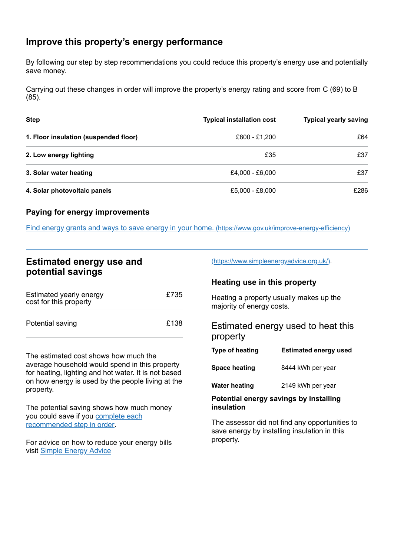## <span id="page-2-0"></span>**Improve this property's energy performance**

By following our step by step recommendations you could reduce this property's energy use and potentially save money.

Carrying out these changes in order will improve the property's energy rating and score from C (69) to B (85).

| <b>Step</b>                           | <b>Typical installation cost</b> | <b>Typical yearly saving</b> |
|---------------------------------------|----------------------------------|------------------------------|
| 1. Floor insulation (suspended floor) | £800 - £1.200                    | £64                          |
| 2. Low energy lighting                | £35                              | £37                          |
| 3. Solar water heating                | £4,000 - £6,000                  | £37                          |
| 4. Solar photovoltaic panels          | £5,000 - £8,000                  | £286                         |

### **Paying for energy improvements**

Find energy grants and ways to save energy in your home. [\(https://www.gov.uk/improve-energy-efficiency\)](https://www.gov.uk/improve-energy-efficiency)

## **Estimated energy use and potential savings**

| Estimated yearly energy<br>cost for this property | £735 |
|---------------------------------------------------|------|
| Potential saving                                  | £138 |

The estimated cost shows how much the average household would spend in this property for heating, lighting and hot water. It is not based on how energy is used by the people living at the property.

The potential saving shows how much money you could save if you complete each [recommended](#page-2-0) step in order.

For advice on how to reduce your energy bills visit Simple [Energy](https://www.simpleenergyadvice.org.uk/) Advice

[\(https://www.simpleenergyadvice.org.uk/\)](https://www.simpleenergyadvice.org.uk/).

#### **Heating use in this property**

Heating a property usually makes up the majority of energy costs.

Estimated energy used to heat this property

| <b>Type of heating</b> | <b>Estimated energy used</b> |
|------------------------|------------------------------|
| <b>Space heating</b>   | 8444 kWh per year            |
| <b>Water heating</b>   | 2149 kWh per year            |

**Potential energy savings by installing insulation**

The assessor did not find any opportunities to save energy by installing insulation in this property.